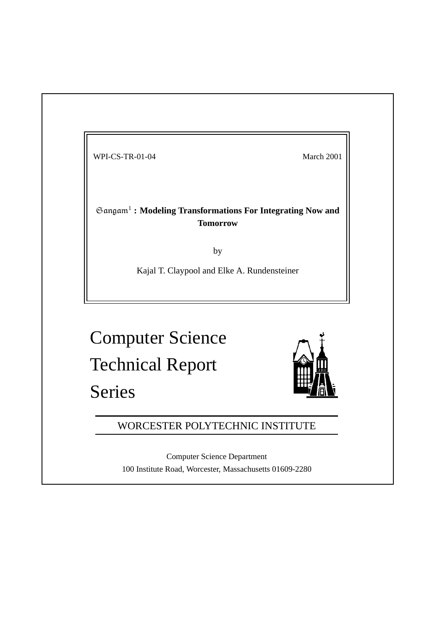WPI-CS-TR-01-04 March 2001

-1 **: Modeling Transformations For Integrating Now and Tomorrow**

by

Kajal T. Claypool and Elke A. Rundensteiner

Computer Science Technical Report Series



# WORCESTER POLYTECHNIC INSTITUTE

Computer Science Department 100 Institute Road, Worcester, Massachusetts 01609-2280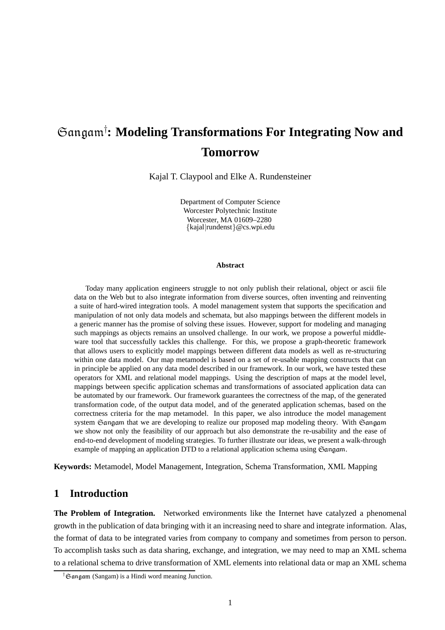# **: Modeling Transformations For Integrating Now and Tomorrow**

Kajal T. Claypool and Elke A. Rundensteiner

Department of Computer Science Worcester Polytechnic Institute kajal rundenst @cs.wpi.edu Worcester, MA 01609–2280

#### **Abstract**

Today many application engineers struggle to not only publish their relational, object or ascii file data on the Web but to also integrate information from diverse sources, often inventing and reinventing a suite of hard-wired integration tools. A model management system that supports the specification and manipulation of not only data models and schemata, but also mappings between the different models in a generic manner has the promise of solving these issues. However, support for modeling and managing such mappings as objects remains an unsolved challenge. In our work, we propose a powerful middleware tool that successfully tackles this challenge. For this, we propose a graph-theoretic framework that allows users to explicitly model mappings between different data models as well as re-structuring within one data model. Our map metamodel is based on a set of re-usable mapping constructs that can in principle be applied on any data model described in our framework. In our work, we have tested these operators for XML and relational model mappings. Using the description of maps at the model level, mappings between specific application schemas and transformations of associated application data can be automated by our framework. Our framework guarantees the correctness of the map, of the generated transformation code, of the output data model, and of the generated application schemas, based on the correctness criteria for the map metamodel. In this paper, we also introduce the model management system Gangam that we are developing to realize our proposed map modeling theory. With Gangam we show not only the feasibility of our approach but also demonstrate the re-usability and the ease of end-to-end development of modeling strategies. To further illustrate our ideas, we present a walk-through example of mapping an application DTD to a relational application schema using  $\Im$  and  $\mathbf a$  .

**Keywords:** Metamodel, Model Management, Integration, Schema Transformation, XML Mapping

# **1 Introduction**

**The Problem of Integration.** Networked environments like the Internet have catalyzed a phenomenal growth in the publication of data bringing with it an increasing need to share and integrate information. Alas, the format of data to be integrated varies from company to company and sometimes from person to person. To accomplish tasks such as data sharing, exchange, and integration, we may need to map an XML schema to a relational schema to drive transformation of XML elements into relational data or map an XML schema

 $\dagger$ Gangam (Sangam) is a Hindi word meaning Junction.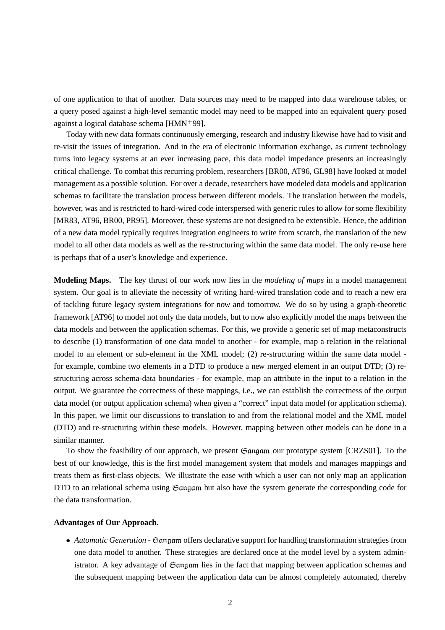of one application to that of another. Data sources may need to be mapped into data warehouse tables, or a query posed against a high-level semantic model may need to be mapped into an equivalent query posed against a logical database schema  $[HMN^+99]$ .

Today with new data formats continuously emerging, research and industry likewise have had to visit and re-visit the issues of integration. And in the era of electronic information exchange, as current technology turns into legacy systems at an ever increasing pace, this data model impedance presents an increasingly critical challenge. To combat this recurring problem, researchers [BR00, AT96, GL98] have looked at model management as a possible solution. For over a decade, researchers have modeled data models and application schemas to facilitate the translation process between different models. The translation between the models, however, was and is restricted to hard-wired code interspersed with generic rules to allow for some flexibility [MR83, AT96, BR00, PR95]. Moreover, these systems are not designed to be extensible. Hence, the addition of a new data model typically requires integration engineers to write from scratch, the translation of the new model to all other data models as well as the re-structuring within the same data model. The only re-use here is perhaps that of a user's knowledge and experience.

**Modeling Maps.** The key thrust of our work now lies in the *modeling of maps* in a model management system. Our goal is to alleviate the necessity of writing hard-wired translation code and to reach a new era of tackling future legacy system integrations for now and tomorrow. We do so by using a graph-theoretic framework [AT96] to model not only the data models, but to now also explicitly model the maps between the data models and between the application schemas. For this, we provide a generic set of map metaconstructs to describe (1) transformation of one data model to another - for example, map a relation in the relational model to an element or sub-element in the XML model; (2) re-structuring within the same data model for example, combine two elements in a DTD to produce a new merged element in an output DTD; (3) restructuring across schema-data boundaries - for example, map an attribute in the input to a relation in the output. We guarantee the correctness of these mappings, i.e., we can establish the correctness of the output data model (or output application schema) when given a "correct" input data model (or application schema). In this paper, we limit our discussions to translation to and from the relational model and the XML model (DTD) and re-structuring within these models. However, mapping between other models can be done in a similar manner.

To show the feasibility of our approach, we present  $\mathfrak{S}$  angam our prototype system [CRZS01]. To the best of our knowledge, this is the first model management system that models and manages mappings and treats them as first-class objects. We illustrate the ease with which a user can not only map an application DTD to an relational schema using  $\mathfrak{S}$  angam but also have the system generate the corresponding code for the data transformation.

#### **Advantages of Our Approach.**

• Automatic Generation - Gangam offers declarative support for handling transformation strategies from one data model to another. These strategies are declared once at the model level by a system administrator. A key advantage of  $G$  angam lies in the fact that mapping between application schemas and the subsequent mapping between the application data can be almost completely automated, thereby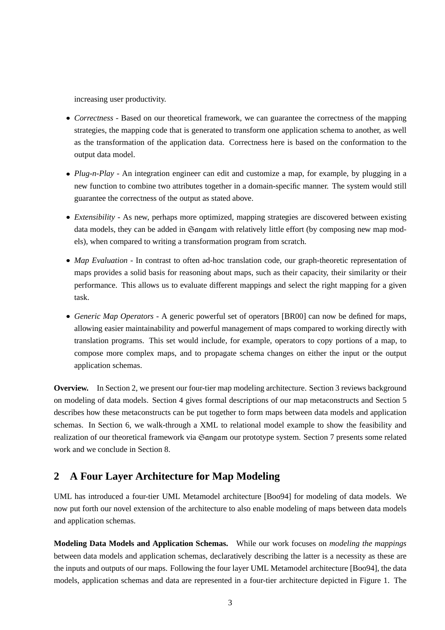increasing user productivity.

- 9 *Correctness* Based on our theoretical framework, we can guarantee the correctness of the mapping strategies, the mapping code that is generated to transform one application schema to another, as well as the transformation of the application data. Correctness here is based on the conformation to the output data model.
- 9 *Plug-n-Play* An integration engineer can edit and customize a map, for example, by plugging in a new function to combine two attributes together in a domain-specific manner. The system would still guarantee the correctness of the output as stated above.
- 9 *Extensibility* As new, perhaps more optimized, mapping strategies are discovered between existing data models, they can be added in Gangam with relatively little effort (by composing new map models), when compared to writing a transformation program from scratch.
- 9 *Map Evaluation* In contrast to often ad-hoc translation code, our graph-theoretic representation of maps provides a solid basis for reasoning about maps, such as their capacity, their similarity or their performance. This allows us to evaluate different mappings and select the right mapping for a given task.
- 9 *Generic Map Operators* A generic powerful set of operators [BR00] can now be defined for maps, allowing easier maintainability and powerful management of maps compared to working directly with translation programs. This set would include, for example, operators to copy portions of a map, to compose more complex maps, and to propagate schema changes on either the input or the output application schemas.

**Overview.** In Section 2, we present our four-tier map modeling architecture. Section 3 reviews background on modeling of data models. Section 4 gives formal descriptions of our map metaconstructs and Section 5 describes how these metaconstructs can be put together to form maps between data models and application schemas. In Section 6, we walk-through a XML to relational model example to show the feasibility and realization of our theoretical framework via Gangam our prototype system. Section 7 presents some related work and we conclude in Section 8.

# **2 A Four Layer Architecture for Map Modeling**

UML has introduced a four-tier UML Metamodel architecture [Boo94] for modeling of data models. We now put forth our novel extension of the architecture to also enable modeling of maps between data models and application schemas.

**Modeling Data Models and Application Schemas.** While our work focuses on *modeling the mappings* between data models and application schemas, declaratively describing the latter is a necessity as these are the inputs and outputs of our maps. Following the four layer UML Metamodel architecture [Boo94], the data models, application schemas and data are represented in a four-tier architecture depicted in Figure 1. The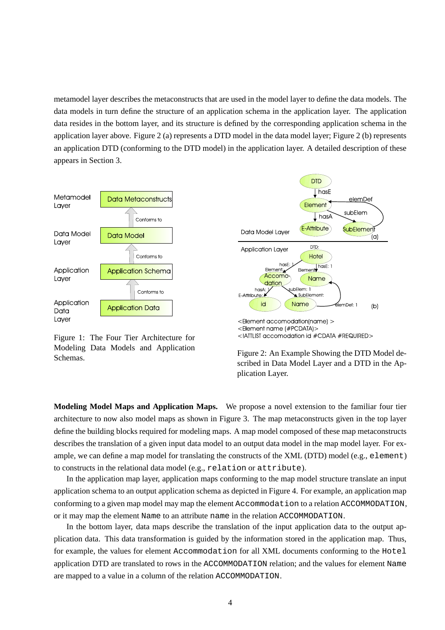metamodel layer describes the metaconstructs that are used in the model layer to define the data models. The data models in turn define the structure of an application schema in the application layer. The application data resides in the bottom layer, and its structure is defined by the corresponding application schema in the application layer above. Figure 2 (a) represents a DTD model in the data model layer; Figure 2 (b) represents an application DTD (conforming to the DTD model) in the application layer. A detailed description of these appears in Section 3.



Figure 1: The Four Tier Architecture for Modeling Data Models and Application





**Modeling Model Maps and Application Maps.** We propose a novel extension to the familiar four tier architecture to now also model maps as shown in Figure 3. The map metaconstructs given in the top layer define the building blocks required for modeling maps. A map model composed of these map metaconstructs describes the translation of a given input data model to an output data model in the map model layer. For example, we can define a map model for translating the constructs of the XML (DTD) model (e.g., element) to constructs in the relational data model (e.g., relation or attribute).

In the application map layer, application maps conforming to the map model structure translate an input application schema to an output application schema as depicted in Figure 4. For example, an application map conforming to a given map model may map the element Accommodation to a relation ACCOMMODATION, or it may map the element Name to an attribute name in the relation ACCOMMODATION.

In the bottom layer, data maps describe the translation of the input application data to the output application data. This data transformation is guided by the information stored in the application map. Thus, for example, the values for element Accommodation for all XML documents conforming to the Hotel application DTD are translated to rows in the ACCOMMODATION relation; and the values for element Name are mapped to a value in a column of the relation ACCOMMODATION.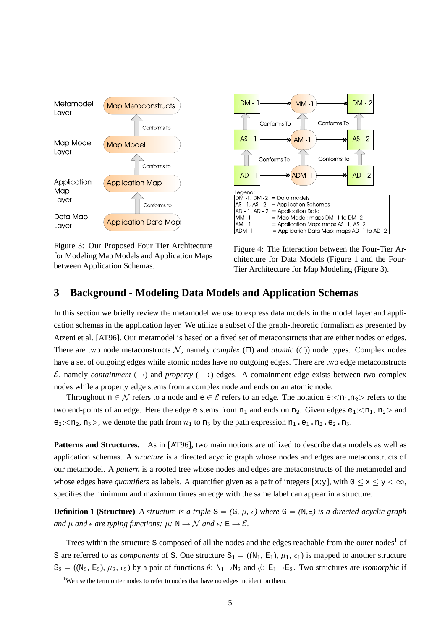

Figure 3: Our Proposed Four Tier Architecture for Modeling Map Models and Application Maps between Application Schemas.



Figure 4: The Interaction between the Four-Tier Architecture for Data Models (Figure 1 and the Four-Tier Architecture for Map Modeling (Figure 3).

## **3 Background - Modeling Data Models and Application Schemas**

In this section we briefly review the metamodel we use to express data models in the model layer and application schemas in the application layer. We utilize a subset of the graph-theoretic formalism as presented by Atzeni et al. [AT96]. Our metamodel is based on a fixed set of metaconstructs that are either nodes or edges. There are two node metaconstructs N, namely *complex* ( $\square$ ) and *atomic* ( $\square$ ) node types. Complex nodes have a set of outgoing edges while atomic nodes have no outgoing edges. There are two edge metaconstructs  $\mathcal{E}$ , namely *containment* ( $\rightarrow$ ) and *property* ( $\rightarrow$ ) edges. A containment edge exists between two complex nodes while a property edge stems from a complex node and ends on an atomic node.

Throughout  $n \in \mathcal{N}$  refers to a node and  $e \in \mathcal{E}$  refers to an edge. The notation  $e:\langle n_1,n_2\rangle$  refers to the two end-points of an edge. Here the edge e stems from  $n_1$  and ends on  $n_2$ . Given edges  $e_1$ : $\langle n_1, n_2 \rangle$  and  $e_2$ : $\langle n_2, n_3 \rangle$ , we denote the path from  $n_1$  to  $n_3$  by the path expression  $n_1$ .e<sub>1</sub>.n<sub>2</sub>.e<sub>2</sub>.n<sub>3</sub>.

**Patterns and Structures.** As in [AT96], two main notions are utilized to describe data models as well as application schemas. A *structure* is a directed acyclic graph whose nodes and edges are metaconstructs of our metamodel. A *pattern* is a rooted tree whose nodes and edges are metaconstructs of the metamodel and whose edges have *quantifiers* as labels. A quantifier given as a pair of integers [x:y], with  $0 \le x \le y \le \infty$ , specifies the minimum and maximum times an edge with the same label can appear in a structure.

**Definition 1 (Structure)** A structure is a triple  $S = (G, \mu, \epsilon)$  where  $G = (N, E)$  is a directed acyclic graph and  $\mu$  and  $\epsilon$  are typing functions:  $\mu: \mathbb{N} \to \mathcal{N}$  and  $\epsilon: \mathbb{E} \to \mathcal{E}$ .

Trees within the structure S composed of all the nodes and the edges reachable from the outer nodes<sup>1</sup> of S are referred to as *components* of S. One structure  $S_1 = ((N_1, E_1), \mu_1, \epsilon_1)$  is mapped to another structure  $S_2 = ((N_2, E_2), \mu_2, \epsilon_2)$  by a pair of functions  $\theta: N_1 \rightarrow N_2$  and  $\phi: E_1 \rightarrow E_2$ . Two structures are *isomorphic* if

<sup>&</sup>lt;sup>1</sup>We use the term outer nodes to refer to nodes that have no edges incident on them.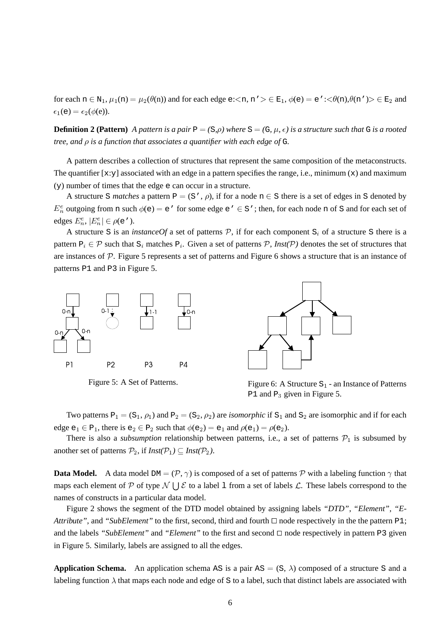for each  $n \in N_1$ ,  $\mu_1(n) = \mu_2(\theta(n))$  and for each edge e:  $\langle n, n' \rangle \in E_1$ ,  $\phi(e) = e'$ :  $\langle \theta(n), \theta(n') \rangle \in E_2$  and  $\epsilon_1$ (e) =  $\epsilon_2(\phi$ (e)).

**Definition 2 (Pattern)** A pattern is a pair  $P = (S, \rho)$  where  $S = (G, \mu, \epsilon)$  is a structure such that G is a rooted *tree,* and  $\rho$  *is a function that associates a quantifier with each edge of G.* 

A pattern describes a collection of structures that represent the same composition of the metaconstructs. The quantifier  $[x:y]$  associated with an edge in a pattern specifies the range, i.e., minimum  $(x)$  and maximum (y) number of times that the edge e can occur in a structure.

A structure S *matches* a pattern  $P = (S', \rho)$ , if for a node  $n \in S$  there is a set of edges in S denoted by  $E_n^e$  outgoing from n such  $\phi(e) = e'$  for some edge  $e' \in S'$ ; then, for each node n of S and for each set of edges  $E_n^e, |E_n^e| \in \rho(e')$ .

A structure S is an *instanceOf* a set of patterns  $P$ , if for each component  $S_i$  of a structure S there is a pattern  $P_i \in \mathcal{P}$  such that  $S_i$  matches  $P_i$ . Given a set of patterns  $\mathcal{P}$ , *Inst(* $\mathcal{P}$ ) denotes the set of structures that are instances of  $P$ . Figure 5 represents a set of patterns and Figure 6 shows a structure that is an instance of patterns P1 and P3 in Figure 5.







Figure 5: A Set of Patterns. Figure 6: A Structure  $S_1$  - an Instance of Patterns P1 and  $P_3$  given in Figure 5.

Two patterns  $P_1 = (S_1, \rho_1)$  and  $P_2 = (S_2, \rho_2)$  are *isomorphic* if  $S_1$  and  $S_2$  are isomorphic and if for each edge  $e_1 \in P_1$ , there is  $e_2 \in P_2$  such that  $\phi(e_2) = e_1$  and  $\rho(e_1) = \rho(e_2)$ .

There is also a *subsumption* relationship between patterns, i.e., a set of patterns  $P_1$  is subsumed by another set of patterns  $\mathcal{P}_2$ , if  $\text{Inst}(\mathcal{P}_1) \subseteq \text{Inst}(\mathcal{P}_2)$ .

**Data Model.** A data model DM =  $(\mathcal{P}, \gamma)$  is composed of a set of patterns  $\mathcal P$  with a labeling function  $\gamma$  that maps each element of P of type  $\mathcal{N} \bigcup \mathcal{E}$  to a label 1 from a set of labels  $\mathcal{L}$ . These labels correspond to the names of constructs in a particular data model.

Figure 2 shows the segment of the DTD model obtained by assigning labels *"DTD"*, *"Element"*, *"E-Attribute"*, and "*SubElement"* to the first, second, third and fourth  $\Box$  node respectively in the the pattern P1; and the labels *"SubElement"* and *"Element"* to the first and second  $\Box$  node respectively in pattern P3 given in Figure 5. Similarly, labels are assigned to all the edges.

**Application Schema.** An application schema AS is a pair  $AS = (S, \lambda)$  composed of a structure S and a labeling function  $\lambda$  that maps each node and edge of S to a label, such that distinct labels are associated with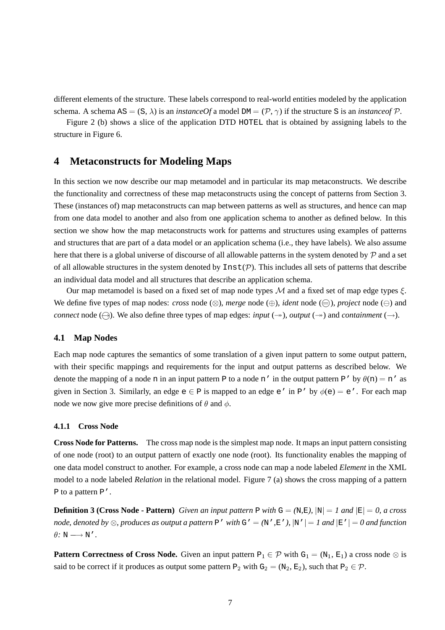different elements of the structure. These labels correspond to real-world entities modeled by the application schema. A schema  $AS = (S, \lambda)$  is an *instanceOf* a model  $DM = (P, \gamma)$  if the structure S is an *instanceof* P.

Figure 2 (b) shows a slice of the application DTD HOTEL that is obtained by assigning labels to the structure in Figure 6.

## **4 Metaconstructs for Modeling Maps**

In this section we now describe our map metamodel and in particular its map metaconstructs. We describe the functionality and correctness of these map metaconstructs using the concept of patterns from Section 3. These (instances of) map metaconstructs can map between patterns as well as structures, and hence can map from one data model to another and also from one application schema to another as defined below. In this section we show how the map metaconstructs work for patterns and structures using examples of patterns and structures that are part of a data model or an application schema (i.e., they have labels). We also assume here that there is a global universe of discourse of all allowable patterns in the system denoted by  $P$  and a set of all allowable structures in the system denoted by  $Inst(\mathcal{P})$ . This includes all sets of patterns that describe an individual data model and all structures that describe an application schema.

Our map metamodel is based on a fixed set of map node types  $M$  and a fixed set of map edge types  $\xi$ . We define five types of map nodes: *cross* node  $(\otimes)$ , *merge* node  $(\oplus)$ , *ident* node  $(\ominus)$ , *project* node  $(\ominus)$  and *connect* node ( $\ominus$ ). We also define three types of map edges: *input* ( $\rightarrow$ ), *output* ( $\rightarrow$ ) and *containment* ( $\rightarrow$ ).

#### **4.1 Map Nodes**

Each map node captures the semantics of some translation of a given input pattern to some output pattern, with their specific mappings and requirements for the input and output patterns as described below. We denote the mapping of a node n in an input pattern P to a node n' in the output pattern P' by  $\theta(n) = n'$  as given in Section 3. Similarly, an edge  $e \in P$  is mapped to an edge  $e'$  in P' by  $\phi(e) = e'$ . For each map node we now give more precise definitions of  $\theta$  and  $\phi$ .

#### **4.1.1 Cross Node**

**Cross Node for Patterns.** The cross map node is the simplest map node. It maps an input pattern consisting of one node (root) to an output pattern of exactly one node (root). Its functionality enables the mapping of one data model construct to another. For example, a cross node can map a node labeled *Element* in the XML model to a node labeled *Relation* in the relational model. Figure 7 (a) shows the cross mapping of a pattern P to a pattern P'.

**Definition 3 (Cross Node - Pattern)** Given an input pattern P with  $G = (N, E)$ ,  $|N| = 1$  and  $|E| = 0$ , a cross node, denoted by  $\otimes$ , produces as output a pattern P' with G' = (N', E'), |N' | = 1 and |E' | = 0 and function  $\theta$ : N  $\longrightarrow$  N'.

**Pattern Correctness of Cross Node.** Given an input pattern  $P_1 \in \mathcal{P}$  with  $G_1 = (N_1, E_1)$  a cross node  $\otimes$  is said to be correct if it produces as output some pattern  $P_2$  with  $G_2 = (N_2, E_2)$ , such that  $P_2 \in \mathcal{P}$ .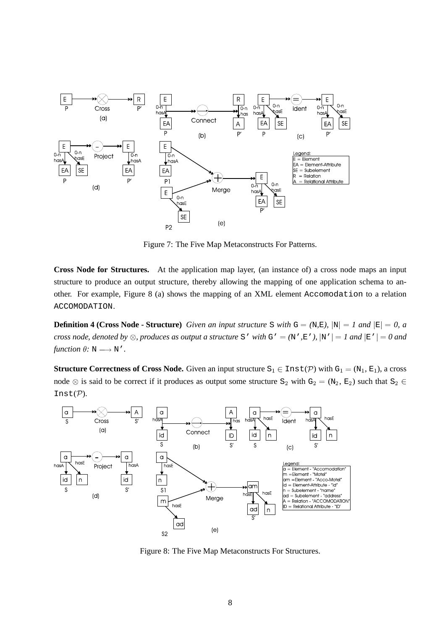

Figure 7: The Five Map Metaconstructs For Patterns.

**Cross Node for Structures.** At the application map layer, (an instance of) a cross node maps an input structure to produce an output structure, thereby allowing the mapping of one application schema to another. For example, Figure 8 (a) shows the mapping of an XML element Accomodation to a relation ACCOMODATION.

**Definition 4 (Cross Node - Structure)** Given an input structure S with  $G = (N, E)$ ,  $|N| = 1$  and  $|E| = 0$ , a cross node, denoted by  $\otimes$ , produces as output a structure S' with G' = (N', E'), |N' | = 1 and |E' | = 0 and *function*  $\theta$ :  $N \rightarrow N'$ .

**Structure Correctness of Cross Node.** Given an input structure  $S_1 \in \text{Inst}(\mathcal{P})$  with  $G_1 = (N_1, E_1)$ , a cross node  $\otimes$  is said to be correct if it produces as output some structure S<sub>2</sub> with G<sub>2</sub> = (N<sub>2</sub>, E<sub>2</sub>) such that S<sub>2</sub>  $\in$ Inst $(\mathcal{P})$ .



Figure 8: The Five Map Metaconstructs For Structures.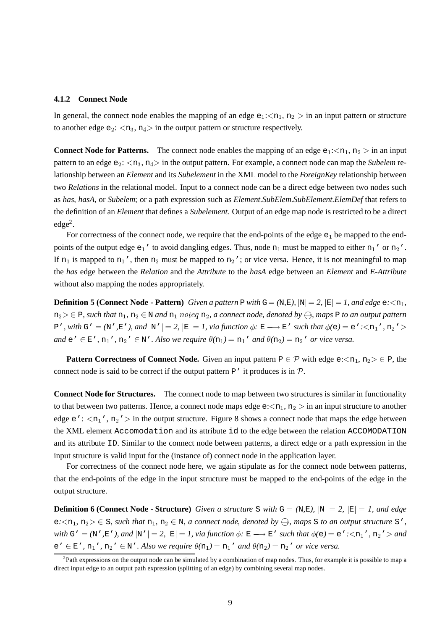#### **4.1.2 Connect Node**

In general, the connect node enables the mapping of an edge  $e_1$ : $\langle n_1, n_2 \rangle$  in an input pattern or structure to another edge  $e_2$ :  $\langle n_3, n_4 \rangle$  in the output pattern or structure respectively.

**Connect Node for Patterns.** The connect node enables the mapping of an edge  $e_1$ : $\langle n_1, n_2 \rangle$  in an input pattern to an edge  $e_2$ :  $\langle n_3, n_4 \rangle$  in the output pattern. For example, a connect node can map the *Subelem* relationship between an *Element* and its *Subelement* in the XML model to the *ForeignKey* relationship between two *Relations* in the relational model. Input to a connect node can be a direct edge between two nodes such as *has*, *hasA*, or *Subelem*; or a path expression such as *Element.SubElem.SubElement.ElemDef* that refers to the definition of an *Element* that defines a *Subelement*. Output of an edge map node is restricted to be a direct  $edge<sup>2</sup>$ .

For correctness of the connect node, we require that the end-points of the edge  $e_1$  be mapped to the endpoints of the output edge  $e_1'$  to avoid dangling edges. Thus, node  $n_1$  must be mapped to either  $n_1'$  or  $n_2'$ . If  $n_1$  is mapped to  $n_1'$ , then  $n_2$  must be mapped to  $n_2'$ ; or vice versa. Hence, it is not meaningful to map the *has* edge between the *Relation* and the *Attribute* to the *hasA* edge between an *Element* and *E-Attribute* without also mapping the nodes appropriately.

**Definition 5 (Connect Node - Pattern)** Given a pattern P with  $G = (N, E)$ ,  $|N| = 2$ ,  $|E| = 1$ , and edge  $e \leq n_1$ ,  $n_2 > \epsilon$  P, such that  $n_1, n_2 \in \mathbb{N}$  and  $n_1$  noteg  $n_2$ , a connect node, denoted by  $\ominus$ , maps P to an output pattern P', with G' = (N', E'), and  $|N'| = 2$ ,  $|E| = 1$ , via function  $\phi: E \longrightarrow E'$  such that  $\phi(e) = e': \langle n_1', n_2' \rangle$ *and*  $e' \in E'$ ,  $n_1'$ ,  $n_2' \in N'$ . Also we require  $\theta(n_1) = n_1'$  and  $\theta(n_2) = n_2'$  or vice versa.

**Pattern Correctness of Connect Node.** Given an input pattern  $P \in \mathcal{P}$  with edge e: $\langle n_1, n_2 \rangle \in P$ , the connect node is said to be correct if the output pattern  $P'$  it produces is in  $P$ .

**Connect Node for Structures.** The connect node to map between two structures is similar in functionality to that between two patterns. Hence, a connect node maps edge  $e:\langle n_1, n_2 \rangle$  in an input structure to another edge e':  $\langle n_1'$ ,  $n_2' \rangle$  in the output structure. Figure 8 shows a connect node that maps the edge between the XML element Accomodation and its attribute id to the edge between the relation ACCOMODATION and its attribute ID. Similar to the connect node between patterns, a direct edge or a path expression in the input structure is valid input for the (instance of) connect node in the application layer.

For correctness of the connect node here, we again stipulate as for the connect node between patterns, that the end-points of the edge in the input structure must be mapped to the end-points of the edge in the output structure.

**Definition 6** (Connect Node - Structure) *Given a structure* S *with*  $G = (N, E)$ ,  $|N| = 2$ ,  $|E| = 1$ , *and edge*  $e\leq n_1, n_2 \geq \epsilon$  S, such that  $n_1, n_2 \in \mathbb{N}$ , a connect node, denoted by  $\ominus$ , maps S to an output structure S', with G' = (N', E'), and  $|N'| = 2$ ,  $|E| = 1$ , via function  $\phi: E \longrightarrow E'$  such that  $\phi(e) = e': \langle n_1', n_2' \rangle$  and  $e' \in E'$ ,  $n_1'$ ,  $n_2' \in N'$ . Also we require  $\theta(n_1) = n_1'$  and  $\theta(n_2) = n_2'$  or vice versa.

 ${}^{2}$ Path expressions on the output node can be simulated by a combination of map nodes. Thus, for example it is possible to map a direct input edge to an output path expression (splitting of an edge) by combining several map nodes.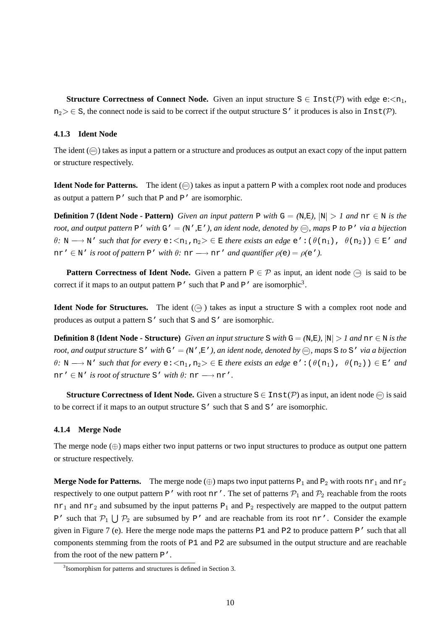**Structure Correctness of Connect Node.** Given an input structure  $S \in \text{Inst}(\mathcal{P})$  with edge e: $\langle \mathbf{z}_1, \mathbf{z}_2 \rangle$  $n_2 \geq \epsilon$  S, the connect node is said to be correct if the output structure S' it produces is also in Inst(P).

#### **4.1.3 Ident Node**

The ident  $(\bigoplus)$  takes as input a pattern or a structure and produces as output an exact copy of the input pattern or structure respectively.

**Ident Node for Patterns.** The ident  $(\bigoplus)$  takes as input a pattern P with a complex root node and produces as output a pattern  $P'$  such that P and P' are isomorphic.

**Definition 7 (Ident Node - Pattern)** Given an input pattern P with  $G = (N, E)$ ,  $|N| > 1$  and  $nr \in N$  is the root, and output pattern P' with  $G' = (N', E')$ , an ident node, denoted by  $\bigoplus$ , maps P to P' via a bijection  $\theta$ : N  $\longrightarrow$  N' *such that for every*  $e:\langle n_1, n_2 \rangle \in E$  *there exists an edge*  $e':(\theta(n_1), \theta(n_2)) \in E'$  *and* nr'  $\in$  N' *is root of pattern* P' *with*  $\theta$ : nr  $\longrightarrow$  nr' *and quantifier*  $\rho(e) = \rho(e')$ .

**Pattern Correctness of Ident Node.** Given a pattern  $P \in \mathcal{P}$  as input, an ident node  $\bigoplus$  is said to be correct if it maps to an output pattern  $P'$  such that P and P' are isomorphic<sup>3</sup>.

**Ident Node for Structures.** The ident  $(\bigoplus)$  takes as input a structure S with a complex root node and produces as output a pattern S' such that S and S' are isomorphic.

**Definition 8 (Ident Node - Structure)** Given an input structure S with  $G = (N, E)$ ,  $|N| > 1$  and  $nr \in N$  is the root, and output structure S' with G' =  $(N', E')$ , an ident node, denoted by  $\oplus$ , maps S to S' via a bijection  $\theta$ : N  $\longrightarrow$  N' *such* that for *every*  $e:\langle n_1, n_2 \rangle \in E$  *there exists an edge*  $e':(\theta(n_1), \theta(n_2)) \in E'$  *and*  $nr' \in N'$  *is root of structure* S' *with*  $\theta$ *:*  $nr \rightarrow nr'$ *.* 

**Structure Correctness of Ident Node.** Given a structure  $S \in \text{Inst}(\mathcal{P})$  as input, an ident node  $\oplus$  is said to be correct if it maps to an output structure S' such that S and S' are isomorphic.

#### **4.1.4 Merge Node**

The merge node  $(\oplus)$  maps either two input patterns or two input structures to produce as output one pattern or structure respectively.

**Merge Node for Patterns.** The merge node ( $\oplus$ ) maps two input patterns  $P_1$  and  $P_2$  with roots  $n r_1$  and  $n r_2$ respectively to one output pattern P' with root nr'. The set of patterns  $P_1$  and  $P_2$  reachable from the roots  $n_{\text{I}}$  and  $n_{\text{I}}$  and subsumed by the input patterns P<sub>1</sub> and P<sub>2</sub> respectively are mapped to the output pattern P' such that  $P_1 \cup P_2$  are subsumed by P' and are reachable from its root nr'. Consider the example given in Figure 7 (e). Here the merge node maps the patterns  $P1$  and  $P2$  to produce pattern  $P'$  such that all components stemming from the roots of P1 and P2 are subsumed in the output structure and are reachable from the root of the new pattern P'.

<sup>&</sup>lt;sup>3</sup> Isomorphism for patterns and structures is defined in Section 3.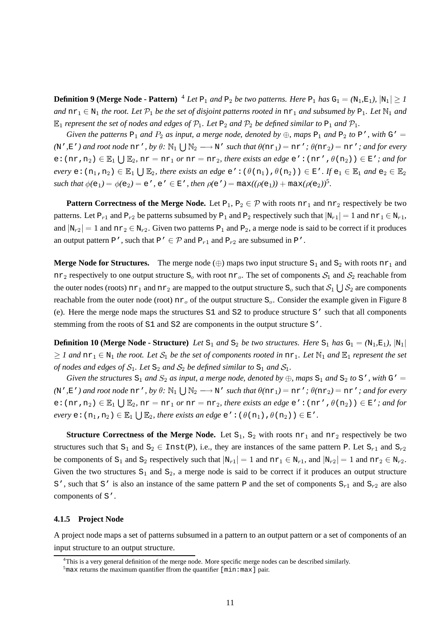**Definition 9 (Merge Node - Pattern)** <sup>4</sup> Let  $P_1$  and  $P_2$  be two patterns. Here  $P_1$  has  $G_1 = (N_1, E_1), |N_1| > 1$ and  $n r_1 \in N_1$  the root. Let  $\mathcal{P}_1$  be the set of disjoint patterns rooted in  $n r_1$  and subsumed by  $P_1$ . Let  $N_1$  and  $\mathbb{E}_1$  represent the set of nodes and edges of  $\mathcal{P}_1$ . Let  $\mathbb{P}_2$  and  $\mathcal{P}_2$  be defined similar to  $\mathbb{P}_1$  and  $\mathcal{P}_1$ .

*Given the patterns*  $P_1$  *and*  $P_2$  *as input, a merge node, denoted by*  $\oplus$ *, maps*  $P_1$  *and*  $P_2$  *to*  $P'$ *, with*  $G' =$ (N',E') and root node  $n r'$ , by  $\theta$ :  $\mathbb{N}_1 \bigcup \mathbb{N}_2 \longrightarrow N'$  such that  $\theta(n r_1) = n r'$ ;  $\theta(n r_2) = n r'$ ; and for every  $e: (nr, n_2) \in \mathbb{E}_1 \bigcup \mathbb{E}_2$ ,  $nr = nr_1$  *or*  $nr = nr_2$ , *there exists an edge*  $e': (nr', \theta(n_2)) \in E'$ *; and for*  $every \in \{n_1, n_2\} \in \mathbb{E}_1 \cup \mathbb{E}_2$ , there exists an edge  $e': (\theta(n_1), \theta(n_2)) \in E'.$  If  $e_1 \in \mathbb{E}_1$  and  $e_2 \in \mathbb{E}_2$  $\phi(e_1) = \phi(e_2) = e'$ ,  $e' \in E'$ ,  $\phi(e_1) = \max((\rho(e_1)) + \max(\rho(e_2))^5)$ .

**Pattern Correctness of the Merge Node.** Let  $P_1, P_2 \in \mathcal{P}$  with roots  $n r_1$  and  $n r_2$  respectively be two patterns. Let  $P_{r1}$  and  $P_{r2}$  be patterns subsumed by  $P_1$  and  $P_2$  respectively such that  $|N_{r1}| = 1$  and  $nr_1 \in N_{r1}$ , and  $|N_{r2}| = 1$  and  $nr_2 \in N_{r2}$ . Given two patterns  $P_1$  and  $P_2$ , a merge node is said to be correct if it produces an output pattern P', such that P'  $\in \mathcal{P}$  and P<sub>r1</sub> and P<sub>r2</sub> are subsumed in P'.

**Merge Node for Structures.** The merge node  $(\oplus)$  maps two input structure S<sub>1</sub> and S<sub>2</sub> with roots nr<sub>1</sub> and nr<sub>2</sub> respectively to one output structure  $S_0$  with root nr<sub>0</sub>. The set of components  $S_1$  and  $S_2$  reachable from the outer nodes (roots)  $n r_1$  and  $n r_2$  are mapped to the output structure  $S_0$  such that  $S_1 \cup S_2$  are components reachable from the outer node (root)  $n_{\text{r}_0}$  of the output structure  $S_0$ . Consider the example given in Figure 8 (e). Here the merge node maps the structures S1 and S2 to produce structure S' such that all components stemming from the roots of S1 and S2 are components in the output structure S'.

**Definition 10** (Merge Node - Structure) Let  $S_1$  and  $S_2$  be two structures. Here  $S_1$  has  $G_1 = (N_1, E_1)$ ,  $|N_1|$  $\geq 1$  and  $n r_1 \in N_1$  the root. Let  $S_1$  be the set of components rooted in  $n r_1$ . Let  $N_1$  and  $E_1$  represent the set *of* nodes and edges of  $S_1$ . Let  $S_2$  and  $S_2$  be defined similar to  $S_1$  and  $S_1$ .

*Given the structures*  $S_1$  *and*  $S_2$  *as input, a merge node, denoted by*  $\oplus$ *, maps*  $S_1$  *and*  $S_2$  *to*  $S'$ *, with*  $G' =$ (N',E') and root node  $n r'$ , by  $\theta$ :  $\mathbb{N}_1 \bigcup \mathbb{N}_2 \longrightarrow N'$  such that  $\theta(n r_1) = n r'$ ;  $\theta(n r_2) = n r'$ ; and for every  $e: (nr, n_2) \in \mathbb{E}_1 \cup \mathbb{E}_2$ ,  $nr = nr_1$  *or*  $nr = nr_2$ , *there exists an edge*  $e': (nr', \theta(n_2)) \in \mathbb{E}'$ *; and for*  $every \in : (n_1, n_2) \in \mathbb{E}_1 \cup \mathbb{E}_2$ , there exists an edge  $e': (\theta(n_1), \theta(n_2)) \in \mathbb{E}'$ .

**Structure Correctness of the Merge Node.** Let  $S_1$ ,  $S_2$  with roots  $n r_1$  and  $n r_2$  respectively be two structures such that  $S_1$  and  $S_2 \in \text{Inst}(P)$ , i.e., they are instances of the same pattern P. Let  $S_{r1}$  and  $S_{r2}$ be components of  $S_1$  and  $S_2$  respectively such that  $\vert N_{r1} \vert = 1$  and  $n r_1 \in N_{r1}$ , and  $\vert N_{r2} \vert = 1$  and  $n r_2 \in N_{r2}$ . Given the two structures  $S_1$  and  $S_2$ , a merge node is said to be correct if it produces an output structure S', such that S' is also an instance of the same pattern P and the set of components  $S_{r1}$  and  $S_{r2}$  are also components of S'.

#### **4.1.5 Project Node**

A project node maps a set of patterns subsumed in a pattern to an output pattern or a set of components of an input structure to an output structure.

<sup>4</sup>This is a very general definition of the merge node. More specific merge nodes can be described similarly.

 $5$ max returns the maximum quantifier ffrom the quantifier [min:max] pair.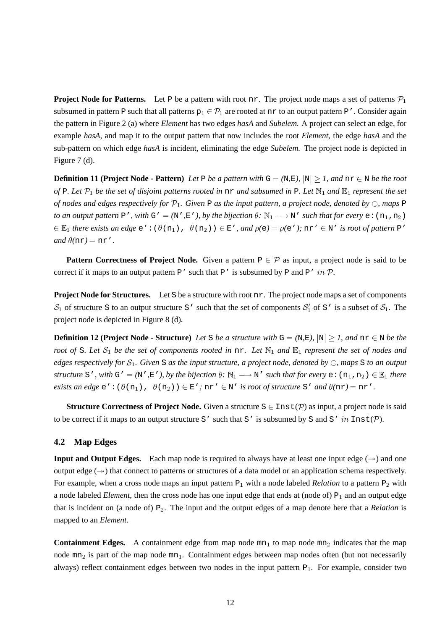**Project Node for Patterns.** Let P be a pattern with root nr. The project node maps a set of patterns  $\mathcal{P}_1$ subsumed in pattern P such that all patterns  $p_1 \in P_1$  are rooted at nr to an output pattern P'. Consider again the pattern in Figure 2 (a) where *Element* has two edges *hasA* and *Subelem*. A project can select an edge, for example *hasA*, and map it to the output pattern that now includes the root *Element*, the edge *hasA* and the sub-pattern on which edge *hasA* is incident, eliminating the edge *Subelem*. The project node is depicted in Figure 7 (d).

**Definition 11 (Project Node - Pattern)** Let P be a pattern with  $G = (N, E)$ ,  $|N| > 1$ , and  $nr \in N$  be the root of P. Let  $\mathcal{P}_1$  be the set of disjoint patterns rooted in  $n\mathbf{r}$  and subsumed in P. Let  $\mathbb{N}_1$  and  $\mathbb{E}_1$  represent the set of nodes and edges respectively for  $\mathcal{P}_1$ . Given P as the input pattern, a project node, denoted by  $\ominus$ , maps P *to an output* pattern P', with G' = ( $N'$ , $E'$ ), by the bijection  $\theta$ :  $\mathbb{N}_1 \longrightarrow N'$  *such that for every*  $e: (n_1, n_2)$  $B \in \mathbb{E}_1$  *there exists an edge*  $e' : (\theta(n_1), \theta(n_2)) \in E'$ *, and*  $\rho(e) = \rho(e')$ ; nr'  $\in \mathbb{N}'$  *is root of pattern* P' *and*  $\theta$ (nr) = nr'.

**Pattern** Correctness of Project Node. Given a pattern  $P \in \mathcal{P}$  as input, a project node is said to be correct if it maps to an output pattern P' such that P' is subsumed by P and P' in P.

**Project Node for Structures.** Let S be a structure with root nr. The project node maps a set of components  $S_1$  of structure S to an output structure S' such that the set of components  $S_1'$  of S' is a subset of  $S_1$ . The project node is depicted in Figure 8 (d).

**Definition 12 (Project Node - Structure)** Let S be a structure with  $G = (N, E)$ ,  $|N| \geq 1$ , and  $n \in N$  be the root of S. Let  $S_1$  be the set of components rooted in  $n x$ . Let  $\mathbb{N}_1$  and  $\mathbb{E}_1$  represent the set of nodes and edges respectively for  $S_1$ . Given S as the input structure, a project node, denoted by  $\ominus$ , maps S to an output *structure* S', with G' = (N', E'), by the bijection  $\theta$ :  $\mathbb{N}_1 \longrightarrow \mathbb{N}'$  *such that for every*  $e: (n_1, n_2) \in \mathbb{E}_1$  *there exists an edge*  $e' : (\theta(n_1), \theta(n_2)) \in E'$ ;  $nr' \in N'$  *is root of structure* S' *and*  $\theta(nr) = nr'$ .

**Structure Correctness of Project Node.** Given a structure  $S \in \text{Inst}(\mathcal{P})$  as input, a project node is said to be correct if it maps to an output structure S' such that S' is subsumed by S and S' in  $Inst(\mathcal{P})$ .

#### **4.2 Map Edges**

**Input and Output Edges.** Each map node is required to always have at least one input edge  $(\rightarrow)$  and one output edge  $(\rightarrow)$  that connect to patterns or structures of a data model or an application schema respectively. For example, when a cross node maps an input pattern  $P_1$  with a node labeled *Relation* to a pattern  $P_2$  with a node labeled *Element*, then the cross node has one input edge that ends at (node of)  $P_1$  and an output edge that is incident on (a node of)  $P_2$ . The input and the output edges of a map denote here that a *Relation* is mapped to an *Element*.

**Containment Edges.** A containment edge from map node  $mn_1$  to map node  $mn_2$  indicates that the map node  $mn_2$  is part of the map node  $mn_1$ . Containment edges between map nodes often (but not necessarily always) reflect containment edges between two nodes in the input pattern  $P_1$ . For example, consider two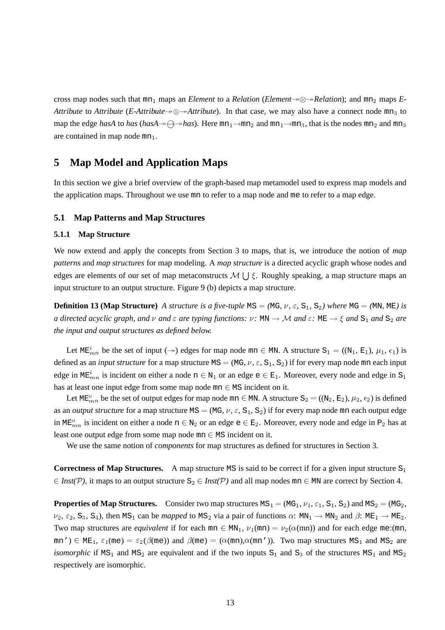cross map nodes such that  $mn_1$  maps an *Element* to a *Relation* (*Element* $\rightarrow \infty \rightarrow$ *Relation*); and  $mn_2$  maps *E*-*Attribute* to *Attribute* (*E-Attribute* $\rightarrow \otimes \rightarrow$ *Attribute*). In that case, we may also have a connect node mn<sub>3</sub> to map the edge *hasA* to *has* (*hasA* $\rightarrow$   $\rightarrow$ *has*). Here mn<sub>1</sub> $\rightarrow$ mn<sub>2</sub> and mn<sub>1</sub> $\rightarrow$ mn<sub>3</sub>, that is the nodes mn<sub>2</sub> and mn<sub>3</sub> are contained in map node  $mn_1$ .

# **5 Map Model and Application Maps**

In this section we give a brief overview of the graph-based map metamodel used to express map models and the application maps. Throughout we use mn to refer to a map node and me to refer to a map edge.

#### **5.1 Map Patterns and Map Structures**

#### **5.1.1 Map Structure**

We now extend and apply the concepts from Section 3 to maps, that is, we introduce the notion of *map patterns* and *map structures* for map modeling. A *map structure* is a directed acyclic graph whose nodes and edges are elements of our set of map metaconstructs  $\mathcal{M} \cup \mathcal{E}$ . Roughly speaking, a map structure maps an input structure to an output structure. Figure 9 (b) depicts a map structure.

**Definition 13 (Map Structure)** A structure is a five-tuple MS = (MG,  $\nu$ ,  $\varepsilon$ , S<sub>1</sub>, S<sub>2</sub>) where MG = (MN, ME) is *a* directed acyclic graph, and  $\nu$  and  $\varepsilon$  are typing functions:  $\nu$ : MN  $\rightarrow$  M and  $\varepsilon$ : ME  $\rightarrow \xi$  and  $S_1$  and  $S_2$  are *the input and output structures as defined below.*

Let  $ME<sub>mn</sub><sup>t</sup>$  be the set of input ( $\rightarrow$ ) edges for map node mn  $\in$  MN. A structure  $S_1 = ((N_1, E_1), \mu_1, \epsilon_1)$  is defined as an *input structure* for a map structure MS = (MG,  $\nu$ ,  $\varepsilon$ , S<sub>1</sub>, S<sub>2</sub>) if for every map node mn each input edge in  $ME<sup>i</sup><sub>mn</sub>$  is incident on either a node  $n \in N_1$  or an edge  $e \in E_1$ . Moreover, every node and edge in S<sub>1</sub> has at least one input edge from some map node  $mn \in MS$  incident on it.

Let ME<sub> $mn$ </sub> be the set of output edges for map node mn  $\in$  MN. A structure  $S_2 = ((N_2, E_2), \mu_2, \epsilon_2)$  is defined as an *output structure* for a map structure  $MS = (MG, \nu, \epsilon, S_1, S_2)$  if for every map node mn each output edge in ME<sub> $mn$ </sub> is incident on either a node  $n \in N_2$  or an edge  $e \in E_2$ . Moreover, every node and edge in P<sub>2</sub> has at least one output edge from some map node  $mn \in MS$  incident on it.

We use the same notion of *components* for map structures as defined for structures in Section 3.

**Correctness of Map Structures.** A map structure MS is said to be correct if for a given input structure  $S_1$  $\in$  *Inst(P)*, it maps to an output structure  $S_2 \in$  *Inst(P)* and all map nodes mn  $\in$  MN are correct by Section 4.

**Properties of Map Structures.** Consider two map structures  $MS_1 = (MG_1, \nu_1, \varepsilon_1, S_1, S_2)$  and  $MS_2 = (MG_2,$  $\nu_2$ ,  $\varepsilon_2$ ,  $S_3$ ,  $S_4$ ), then MS<sub>1</sub> can be *mapped* to MS<sub>2</sub> via a pair of functions  $\alpha$ : MN<sub>1</sub>  $\rightarrow$  MN<sub>2</sub> and  $\beta$ : ME<sub>1</sub>  $\rightarrow$  ME<sub>2</sub>. Two map structures are *equivalent* if for each  $mn \in MN_1$ ,  $\nu_1 (mn) = \nu_2(\alpha(mn))$  and for each edge me:(mn,  $mn'$ )  $\in$  ME<sub>1</sub>,  $\varepsilon_1$ (me) =  $\varepsilon_2(\beta(me))$  and  $\beta(me)$  = ( $\alpha$ (mn), $\alpha$ (mn')). Two map structures MS<sub>1</sub> and MS<sub>2</sub> are *isomorphic* if  $MS_1$  and  $MS_2$  are equivalent and if the two inputs  $S_1$  and  $S_3$  of the structures  $MS_1$  and  $MS_2$ respectively are isomorphic.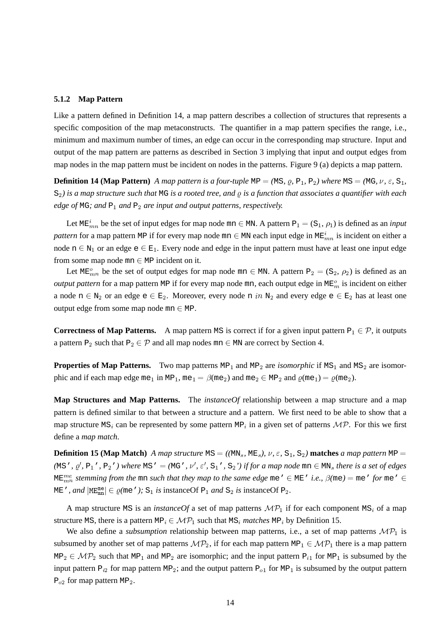#### **5.1.2 Map Pattern**

Like a pattern defined in Definition 14, a map pattern describes a collection of structures that represents a specific composition of the map metaconstructs. The quantifier in a map pattern specifies the range, i.e., minimum and maximum number of times, an edge can occur in the corresponding map structure. Input and output of the map pattern are patterns as described in Section 3 implying that input and output edges from map nodes in the map pattern must be incident on nodes in the patterns. Figure 9 (a) depicts a map pattern.

**Definition 14 (Map Pattern)** A map pattern is a four-tuple  $MP = (MS, 0, P_1, P_2)$  where  $MS = (MG, \nu, \varepsilon, S_1, P_2)$  $S_2$ ) is a map structure such that MG is a rooted tree, and  $\rho$  is a function that associates a quantifier with each *edge* of MG; and  $P_1$  and  $P_2$  are *input and output patterns, respectively.* 

Let  $ME<sup>t</sup><sub>mn</sub>$  be the set of input edges for map node  $mn \in MN$ . A pattern  $P_1 = (S_1, \rho_1)$  is defined as an *input pattern* for a map pattern MP if for every map node mn  $\in$  MN each input edge in ME $^t_{mn}$  is incident on either a node  $n \in N_1$  or an edge  $e \in E_1$ . Every node and edge in the input pattern must have at least one input edge from some map node  $mn \in MP$  incident on it.

Let  $ME_{mn}^o$  be the set of output edges for map node mn  $\in$  MN. A pattern  $P_2 = (S_2, \rho_2)$  is defined as an *output pattern* for a map pattern MP if for every map node mn, each output edge in ME $_m^o$  is incident on either a node  $n \in N_2$  or an edge  $e \in E_2$ . Moreover, every node n in  $N_2$  and every edge  $e \in E_2$  has at least one output edge from some map node  $mn \in MP$ .

**Correctness of Map Patterns.** A map pattern MS is correct if for a given input pattern  $P_1 \in \mathcal{P}$ , it outputs a pattern P<sub>2</sub> such that P<sub>2</sub>  $\in \mathcal{P}$  and all map nodes mn  $\in$  MN are correct by Section 4.

**Properties of Map Patterns.** Two map patterns  $MP_1$  and  $MP_2$  are *isomorphic* if  $MS_1$  and  $MS_2$  are isomorphic and if each map edge me<sub>1</sub> in MP<sub>1</sub>, me<sub>1</sub> =  $\beta$ (me<sub>2</sub>) and me<sub>2</sub>  $\in$  MP<sub>2</sub> and  $\rho$ (me<sub>1</sub>) =  $\rho$ (me<sub>2</sub>).

**Map Structures and Map Patterns.** The *instanceOf* relationship between a map structure and a map pattern is defined similar to that between a structure and a pattern. We first need to be able to show that a map structure  $MS_i$  can be represented by some pattern MP<sub>i</sub> in a given set of patterns  $\mathcal{MP}$ . For this we first define a *map match*.

**Definition 15 (Map Match)** A map structure MS = ((MN<sub>s</sub>, ME<sub>s</sub>),  $\nu$ ,  $\varepsilon$ , S<sub>1</sub>, S<sub>2</sub>) **matches** a map pattern MP = (MS',  $\rho'$ , P<sub>1</sub>', P<sub>2</sub>') where MS' = (MG',  $\nu'$ ,  $\varepsilon'$ , S<sub>1</sub>', S<sub>2</sub>') if for a map node mn  $\in$  MN<sub>s</sub> there is a set of edges ME $_{mn}^{me}$  *stemming from the <code>mn</code> such that they map to the same edge <code>me</code> '*  $\in$  *ME ' i.e.,*  $\beta$ *(<code>me)</code>*  $=$  *<code>me</code> '*  $\in$  $\in$  $\in$ ME', and  $|\text{ME}_{mn}^{me}| \in \varrho$ (me'); S<sub>1</sub> is instanceOf P<sub>1</sub> and S<sub>2</sub> is instanceOf P<sub>2</sub>.

A map structure MS is an *instanceOf* a set of map patterns  $\mathcal{MP}_1$  if for each component MS<sub>i</sub> of a map structure MS, there is a pattern MP<sub>i</sub>  $\in \mathcal{MP}_1$  such that MS<sub>i</sub> matches MP<sub>i</sub> by Definition 15.

We also define a *subsumption* relationship between map patterns, i.e., a set of map patterns  $\mathcal{MP}_1$  is subsumed by another set of map patterns  $\mathcal{MP}_2$ , if for each map pattern MP  $_1 \in \mathcal{MP}_1$  there is a map pattern  $MP_2 \in MP_2$  such that MP<sub>1</sub> and MP<sub>2</sub> are isomorphic; and the input pattern P<sub>i1</sub> for MP<sub>1</sub> is subsumed by the input pattern  $P_{i2}$  for map pattern MP<sub>2</sub>; and the output pattern P<sub>01</sub> for MP<sub>1</sub> is subsumed by the output pattern  $P_{02}$  for map pattern MP<sub>2</sub>.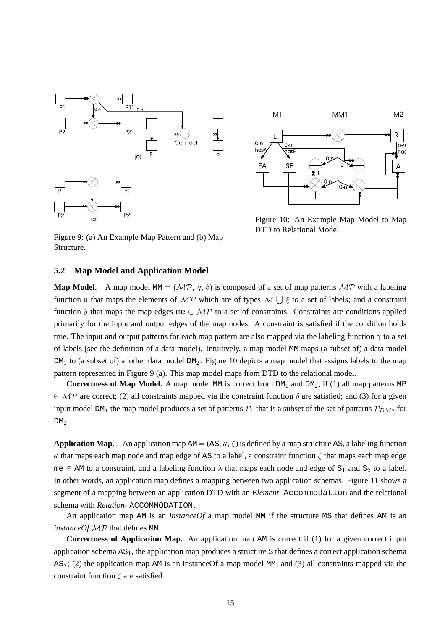



Figure 10: An Example Map Model to Map DTD to Relational Model.

Figure 9: (a) An Example Map Pattern and (b) Map Structure.

#### **5.2 Map Model and Application Model**

**Map Model.** A map model MM = ( $\mathcal{MP}$ ,  $\eta$ ,  $\delta$ ) is composed of a set of map patterns  $\mathcal{MP}$  with a labeling function  $\eta$  that maps the elements of  $\mathcal{MP}$  which are of types  $\mathcal{M} \mid \xi$  to a set of labels; and a constraint function  $\delta$  that maps the map edges me  $\in \mathcal{MP}$  to a set of constraints. Constraints are conditions applied primarily for the input and output edges of the map nodes. A constraint is satisfied if the condition holds true. The input and output patterns for each map pattern are also mapped via the labeling function  $\gamma$  to a set of labels (see the definition of a data model). Intuitively, a map model MM maps (a subset of) a data model  $DM<sub>1</sub>$  to (a subset of) another data model  $DM<sub>2</sub>$ . Figure 10 depicts a map model that assigns labels to the map pattern represented in Figure 9 (a). This map model maps from DTD to the relational model.

**Correctness of Map Model.** A map model MM is correct from  $DM_1$  and  $DM_2$ , if (1) all map patterns MP  $\epsilon \mathcal{MP}$  are correct; (2) all constraints mapped via the constraint function  $\delta$  are satisfied; and (3) for a given input model DM<sub>1</sub> the map model produces a set of patterns  $P_1$  that is a subset of the set of patterns  $P_{DM2}$  for  $DM<sub>2</sub>$ .

**Application Map.** An application map  $AM = (AS, \kappa, \zeta)$  is defined by a map structure AS, a labeling function  $\kappa$  that maps each map node and map edge of AS to a label, a constraint function  $\zeta$  that maps each map edge me  $\in$  AM to a constraint, and a labeling function  $\lambda$  that maps each node and edge of S<sub>1</sub> and S<sub>2</sub> to a label. In other words, an application map defines a mapping between two application schemas. Figure 11 shows a segment of a mapping between an application DTD with an *Element*- Accommodation and the relational schema with *Relation*- ACCOMMODATION.

An application map AM is an *instanceOf* a map model MM if the structure MS that defines AM is an *instanceOf*  $\mathcal{MP}$  that defines MM.

**Correctness of Application Map.** An application map AM is correct if (1) for a given correct input application schema  $AS<sub>1</sub>$ , the application map produces a structure S that defines a correct application schema AS<sub>2</sub>; (2) the application map AM is an instance Of a map model MM; and (3) all constraints mapped via the constraint function  $\zeta$  are satisfied.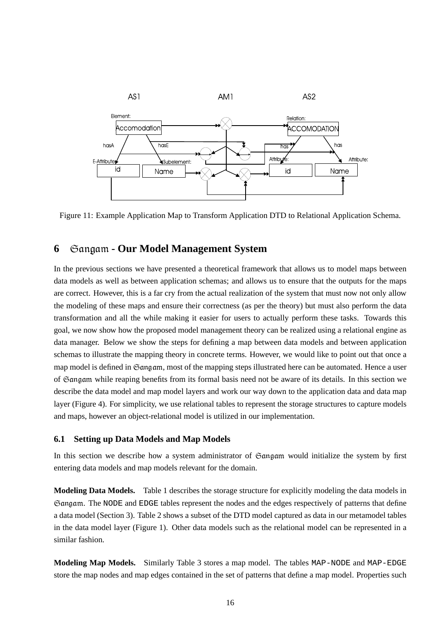

Figure 11: Example Application Map to Transform Application DTD to Relational Application Schema.

## **6**  $\theta$   $\theta$  angam - Our Model Management System

In the previous sections we have presented a theoretical framework that allows us to model maps between data models as well as between application schemas; and allows us to ensure that the outputs for the maps are correct. However, this is a far cry from the actual realization of the system that must now not only allow the modeling of these maps and ensure their correctness (as per the theory) but must also perform the data transformation and all the while making it easier for users to actually perform these tasks. Towards this goal, we now show how the proposed model management theory can be realized using a relational engine as data manager. Below we show the steps for defining a map between data models and between application schemas to illustrate the mapping theory in concrete terms. However, we would like to point out that once a map model is defined in Gangam, most of the mapping steps illustrated here can be automated. Hence a user of Gangam while reaping benefits from its formal basis need not be aware of its details. In this section we describe the data model and map model layers and work our way down to the application data and data map layer (Figure 4). For simplicity, we use relational tables to represent the storage structures to capture models and maps, however an object-relational model is utilized in our implementation.

### **6.1 Setting up Data Models and Map Models**

In this section we describe how a system administrator of  $\mathfrak{S}$  and  $\mathfrak{g}$  would initialize the system by first entering data models and map models relevant for the domain.

**Modeling Data Models.** Table 1 describes the storage structure for explicitly modeling the data models in Gangam. The NODE and EDGE tables represent the nodes and the edges respectively of patterns that define a data model (Section 3). Table 2 shows a subset of the DTD model captured as data in our metamodel tables in the data model layer (Figure 1). Other data models such as the relational model can be represented in a similar fashion.

**Modeling Map Models.** Similarly Table 3 stores a map model. The tables MAP-NODE and MAP-EDGE store the map nodes and map edges contained in the set of patterns that define a map model. Properties such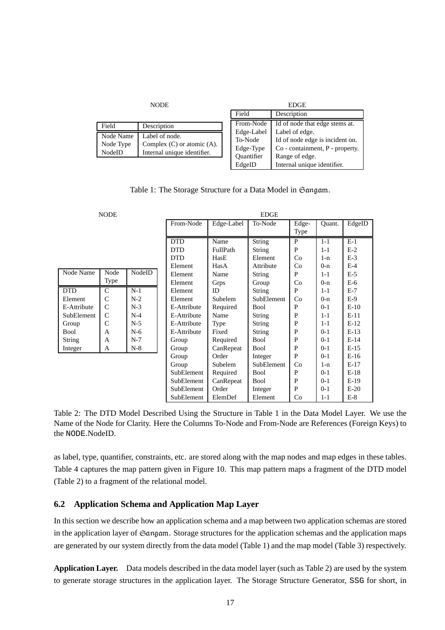|                                  | <b>NODE</b>                                                                      |                                                         | <b>EDGE</b>                                                                                            |
|----------------------------------|----------------------------------------------------------------------------------|---------------------------------------------------------|--------------------------------------------------------------------------------------------------------|
|                                  |                                                                                  | Field                                                   | Description                                                                                            |
| Field                            | Description                                                                      | From-Node                                               | Id of node that edge stems at.                                                                         |
| Node Name<br>Node Type<br>NodeID | Label of node.<br>Complex $(C)$ or atomic $(A)$ .<br>Internal unique identifier. | Edge-Label<br>To-Node<br>Edge-Type<br><b>Ouantifier</b> | Label of edge.<br>Id of node edge is incident on.<br>Co - containment, P - property.<br>Range of edge. |
|                                  |                                                                                  | EdgeID                                                  | Internal unique identifier.                                                                            |

Table 1: The Storage Structure for a Data Model in Gangam.

| <b>NODE</b> |               |        | <b>EDGE</b> |             |           |             |        |         |        |  |
|-------------|---------------|--------|-------------|-------------|-----------|-------------|--------|---------|--------|--|
|             |               |        | From-Node   | Edge-Label  | To-Node   | Edge-       | Ouant. | EdgeID  |        |  |
|             |               |        |             |             |           |             | Type   |         |        |  |
|             |               |        |             | <b>DTD</b>  | Name      | String      | P      | $1-1$   | $E-1$  |  |
|             |               |        |             | <b>DTD</b>  | FullPath  | String      | P      | $1 - 1$ | $E-2$  |  |
|             |               |        |             | <b>DTD</b>  | HasE      | Element     | Co     | $1-n$   | $E-3$  |  |
|             |               |        |             | Element     | HasA      | Attribute   | Co     | $0-n$   | $E-4$  |  |
| Node Name   | Node          | NodeID |             | Element     | Name      | String      | P      | $1 - 1$ | $E-5$  |  |
|             | <b>Type</b>   |        |             | Element     | Grps      | Group       | Co     | $0-n$   | $E-6$  |  |
| DTD         | C             | $N-1$  |             | Element     | ID        | String      | P      | $1 - 1$ | $E-7$  |  |
| Element     | C             | $N-2$  |             | Element     | Subelem   | SubElement  | Co     | $0-n$   | $E-9$  |  |
| E-Attribute | $\mathcal{C}$ | $N-3$  |             | E-Attribute | Required  | Bool        | P      | $0 - 1$ | $E-10$ |  |
| SubElement  | C             | $N-4$  |             | E-Attribute | Name      | String      | P      | $1 - 1$ | $E-11$ |  |
| Group       | $\mathcal{C}$ | $N-5$  |             | E-Attribute | Type      | String      | P      | $1 - 1$ | $E-12$ |  |
| Bool        | A             | $N-6$  |             | E-Attribute | Fixed     | String      | P      | $0 - 1$ | $E-13$ |  |
| String      | A             | $N-7$  |             | Group       | Required  | <b>Bool</b> | P      | $0 - 1$ | $E-14$ |  |
| Integer     | A             | $N-8$  |             | Group       | CanRepeat | Bool        | P      | $0-1$   | $E-15$ |  |
|             |               |        |             | Group       | Order     | Integer     | P      | $0-1$   | $E-16$ |  |
|             |               |        |             | Group       | Subelem   | SubElement  | Co     | 1-n     | $E-17$ |  |
|             |               |        |             | SubElement  | Required  | Bool        | P      | $0-1$   | $E-18$ |  |
|             |               |        |             | SubElement  | CanRepeat | Bool        | P      | $0 - 1$ | $E-19$ |  |
|             |               |        |             | SubElement  | Order     | Integer     | P      | $0-1$   | $E-20$ |  |
|             |               |        |             | SubElement  | ElemDef   | Element     | Co     | $1 - 1$ | $E-8$  |  |

Table 2: The DTD Model Described Using the Structure in Table 1 in the Data Model Layer. We use the Name of the Node for Clarity. Here the Columns To-Node and From-Node are References (Foreign Keys) to the NODE.NodeID.

as label, type, quantifier, constraints, etc. are stored along with the map nodes and map edges in these tables. Table 4 captures the map pattern given in Figure 10. This map pattern maps a fragment of the DTD model (Table 2) to a fragment of the relational model.

### **6.2 Application Schema and Application Map Layer**

In this section we describe how an application schema and a map between two application schemas are stored in the application layer of  $\mathfrak{S}$  angam. Storage structures for the application schemas and the application maps are generated by our system directly from the data model (Table 1) and the map model (Table 3) respectively.

**Application Layer.** Data models described in the data model layer (such as Table 2) are used by the system to generate storage structures in the application layer. The Storage Structure Generator, SSG for short, in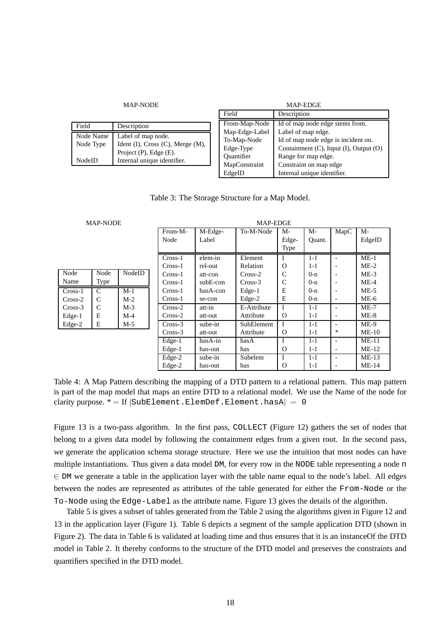|               | NAP-NODE                         |
|---------------|----------------------------------|
| Field         | Description                      |
| Node Name     | Label of map node.               |
| Node Type     | Ident (I), Cross (C), Merge (M), |
|               | Project (P), Edge (E).           |
| <b>NodeID</b> | Internal unique identifier.      |
|               |                                  |

| <b>MAP-NODE</b>                         | <b>MAP-EDGE</b> |                                        |  |  |
|-----------------------------------------|-----------------|----------------------------------------|--|--|
|                                         | Field           | Description                            |  |  |
| escription                              | From-Map-Node   | Id of map node edge stems from.        |  |  |
| ubel of map node.                       | Map-Edge-Label  | Label of map edge.                     |  |  |
| ent $(I)$ , Cross $(C)$ , Merge $(M)$ , | To-Map-Node     | Id of map node edge is incident on.    |  |  |
| oject $(P)$ , Edge $(E)$ .              | Edge-Type       | Containment (C), Input (I), Output (O) |  |  |
|                                         | Quantifier      | Range for map edge.                    |  |  |
| ternal unique identifier.               | MapConstraint   | Constraint on map edge                 |  |  |
|                                         | EdgeID          | Internal unique identifier.            |  |  |

Table 3: The Storage Structure for a Map Model.

|           | <b>MAP-NODE</b> |        |           | MAP-EDGE   |             |               |         |                          |         |  |  |  |  |
|-----------|-----------------|--------|-----------|------------|-------------|---------------|---------|--------------------------|---------|--|--|--|--|
|           |                 |        | From-M-   | M-Edge-    | To-M-Node   | M-            | M-      | MapC                     | $M-$    |  |  |  |  |
|           |                 |        | Node      | Label      |             | Edge-         | Ouant.  |                          | EdgeID  |  |  |  |  |
|           |                 |        |           |            |             | <b>Type</b>   |         |                          |         |  |  |  |  |
|           |                 |        | $Cross-1$ | elem-in    | Element     |               | $1 - 1$ |                          | $ME-1$  |  |  |  |  |
|           |                 |        | $Cross-1$ | rel-out    | Relation    | $\Omega$      | $1 - 1$ |                          | $ME-2$  |  |  |  |  |
| Node      | Node            | NodeID | $Cross-1$ | att-con    | $Cross-2$   | $\mathcal{C}$ | $0 - n$ |                          | $ME-3$  |  |  |  |  |
| Name      | Type            |        | $Cross-1$ | $subE-con$ | $Cross-3$   | C             | $0-n$   |                          | $ME-4$  |  |  |  |  |
| $Cross-1$ | C               | $M-1$  | $Cross-1$ | hasA-con   | Edge-1      | Е             | $0-n$   |                          | $ME-5$  |  |  |  |  |
| Cross-2   | C               | $M-2$  | $Cross-1$ | se-con     | Edge-2      | E             | $0 - n$ |                          | $ME-6$  |  |  |  |  |
| Cross-3   | C               | $M-3$  | $Cross-2$ | att-in     | E-Attribute | Τ             | $1 - 1$ |                          | $ME-7$  |  |  |  |  |
| Edge-1    | E               | $M-4$  | $Cross-2$ | att-out    | Attribute   | $\Omega$      | $1 - 1$ |                          | $ME-8$  |  |  |  |  |
| Edge-2    | Ε               | $M-5$  | $Cross-3$ | sube-in    | SubElement  |               | $1 - 1$ |                          | $ME-9$  |  |  |  |  |
|           |                 |        | $Cross-3$ | att-out    | Attribute   | $\Omega$      | $1 - 1$ | *                        | $ME-10$ |  |  |  |  |
|           |                 |        | Edge-1    | hasA-in    | hasA        | I             | $1 - 1$ |                          | $ME-11$ |  |  |  |  |
|           |                 |        | Edge-1    | has-out    | has         | $\Omega$      | $1 - 1$ | $\overline{\phantom{0}}$ | $ME-12$ |  |  |  |  |
|           |                 |        | Edge-2    | sube-in    | Subelem     |               | $1 - 1$ |                          | $ME-13$ |  |  |  |  |

Table 4: A Map Pattern describing the mapping of a DTD pattern to a relational pattern. This map pattern is part of the map model that maps an entire DTD to a relational model. We use the Name of the node for clarity purpose.  $* = \text{If } |\text{SubElement}. \text{Element}. \text{Element}. \text{hasA} | = 0$ 

Edge-2 | has-out | has | O | 1-1 | - | ME-14

Figure 13 is a two-pass algorithm. In the first pass, COLLECT (Figure 12) gathers the set of nodes that belong to a given data model by following the containment edges from a given root. In the second pass, we generate the application schema storage structure. Here we use the intuition that most nodes can have multiple instantiations. Thus given a data model DM, for every row in the NODE table representing a node n  $\epsilon$  DM we generate a table in the application layer with the table name equal to the node's label. All edges between the nodes are represented as attributes of the table generated for either the From-Node or the To-Node using the Edge-Label as the attribute name. Figure 13 gives the details of the algorithm.

Table 5 is gives a subset of tables generated from the Table 2 using the algorithms given in Figure 12 and 13 in the application layer (Figure 1). Table 6 depicts a segment of the sample application DTD (shown in Figure 2). The data in Table 6 is validated at loading time and thus ensures that it is an instanceOf the DTD model in Table 2. It thereby conforms to the structure of the DTD model and preserves the constraints and quantifiers specified in the DTD model.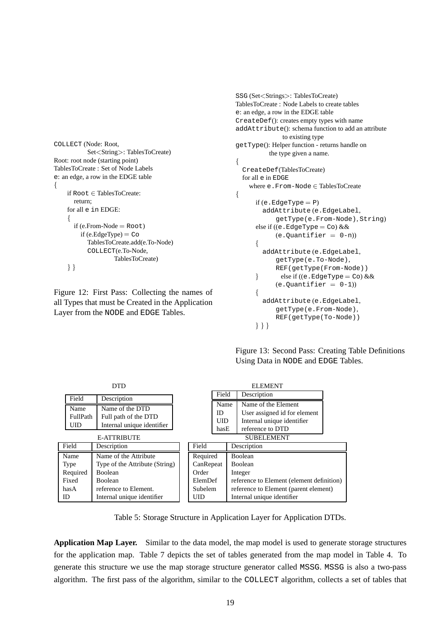```
COLLECT (Node: Root,
           Set<String>: TablesToCreate)
Root: root node (starting point)
TablesToCreate : Set of Node Labels
e: an edge, a row in the EDGE table
A A A A A A A
    if Root \in TablesToCreate:return;
    for all e in EDGE:
     A A A A A A A
      if (e.From-Node = Root)
         if (e.EdgeType) = Co
           TablesToCreate.add(e.To-Node)
           COLLECT(e.To-Node,
                    TablesToCreate)
    \}
```
Figure 12: First Pass: Collecting the names of all Types that must be Created in the Application Layer from the NODE and EDGE Tables.

```
SSG (Set<Strings>: TablesToCreate)
TablesToCreate : Node Labels to create tables
e: an edge, a row in the EDGE table
CreateDef(): creates empty types with name
addAttribute(): schema function to add an attribute
              to existing type
getType(): Helper function - returns handle on
          the type given a name. A A A A A A A A
  CreateDef(TablesToCreate)
  for all e in EDGE
   where e. From-Node \in TablesToCreate
Â
     if (e.EdgeType = P)addAttribute (e.EdgeLabel,
            getType(e.From-Node), String)
      else if ((e. EdgeType = Co) &8(e.Quantifier = 0-n)Â
        addAttribute (e.EdgeLabel,
            getType(e.To-Node),
            REF(getType(From-Node))
      Å
             else if ((e.EdgeType = Co) &&(e.Quantifier = 0-1))
      Â
        addAttribute (e.EdgeLabel,
           getType(e.From-Node),
           REF(getType(To-Node))
      \}
```
Figure 13: Second Pass: Creating Table Definitions Using Data in NODE and EDGE Tables.

| <b>DTD</b>                     |                                                                                             |  |                       |                            |                                           | <b>ELEMENT</b>                                                                                                             |  |
|--------------------------------|---------------------------------------------------------------------------------------------|--|-----------------------|----------------------------|-------------------------------------------|----------------------------------------------------------------------------------------------------------------------------|--|
| Field                          | Description                                                                                 |  |                       | Field                      |                                           | Description                                                                                                                |  |
| Name<br>FullPath<br>UID        | Name of the DTD<br>Full path of the DTD<br>Internal unique identifier<br><b>E-ATTRIBUTE</b> |  |                       | Name<br>ID<br>UID.<br>hasE |                                           | Name of the Element<br>User assigned id for element<br>Internal unique identifier<br>reference to DTD<br><b>SUBELEMENT</b> |  |
| Field                          | Description                                                                                 |  | Field                 |                            |                                           | Description                                                                                                                |  |
| Name<br>Type                   | Name of the Attribute<br>Type of the Attribute (String)                                     |  | Required<br>CanRepeat |                            |                                           | <b>Boolean</b><br><b>Boolean</b>                                                                                           |  |
| Required<br><b>Boolean</b>     |                                                                                             |  | Order                 |                            | Integer                                   |                                                                                                                            |  |
| Fixed<br><b>Boolean</b>        |                                                                                             |  | ElemDef               |                            | reference to Element (element definition) |                                                                                                                            |  |
| reference to Element.<br>has A |                                                                                             |  | Subelem               |                            | reference to Element (parent element)     |                                                                                                                            |  |
| ID                             | Internal unique identifier                                                                  |  | UID                   |                            |                                           | Internal unique identifier                                                                                                 |  |

Table 5: Storage Structure in Application Layer for Application DTDs.

**Application Map Layer.** Similar to the data model, the map model is used to generate storage structures for the application map. Table 7 depicts the set of tables generated from the map model in Table 4. To generate this structure we use the map storage structure generator called MSSG. MSSG is also a two-pass algorithm. The first pass of the algorithm, similar to the COLLECT algorithm, collects a set of tables that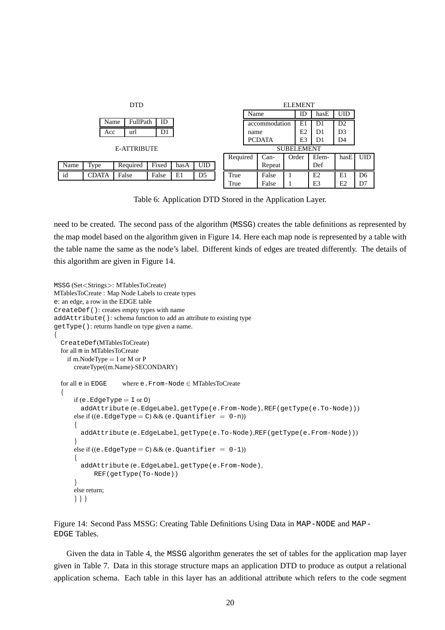| <b>DTD</b> |       |      |             |       |      |                |  |                   |      | <b>ELEMENT</b> |    |       |            |                |                |
|------------|-------|------|-------------|-------|------|----------------|--|-------------------|------|----------------|----|-------|------------|----------------|----------------|
|            |       |      |             |       |      |                |  | Name              |      |                | ID | hasE  | <b>UID</b> |                |                |
|            |       | Name | FullPath    | ID    |      |                |  |                   |      | accommodation  |    | E1    | D1         | D <sub>2</sub> |                |
|            | Acc   |      | url         | D1    |      |                |  |                   | name |                |    | E2    | D1         | D <sub>3</sub> |                |
|            |       |      |             |       |      |                |  | <b>PCDATA</b>     |      | E3             | D1 | D4    |            |                |                |
|            |       |      | E-ATTRIBUTE |       |      |                |  | <b>SUBELEMENT</b> |      |                |    |       |            |                |                |
|            |       |      |             |       |      |                |  | Required          |      | $Can-$         |    | Order | Elem-      | hasE           | <b>UID</b>     |
| Name       | Type  |      | Required    | Fixed | hasA | <b>UID</b>     |  |                   |      | Repeat         |    |       | Def        |                |                |
| id         | CDATA |      | False       | False | E1   | D <sub>5</sub> |  | True              |      | False          |    |       | E2         | E1             | D <sub>6</sub> |
|            |       |      |             |       |      |                |  | True              |      | False          |    |       | E3         | E2             | D7             |

Table 6: Application DTD Stored in the Application Layer.

need to be created. The second pass of the algorithm (MSSG) creates the table definitions as represented by the map model based on the algorithm given in Figure 14. Here each map node is represented by a table with the table name the same as the node's label. Different kinds of edges are treated differently. The details of this algorithm are given in Figure 14.

```
MSSG (Set<Strings>: MTablesToCreate)
MTablesToCreate : Map Node Labels to create types
e: an edge, a row in the EDGE table
CreateDef(): creates empty types with name
addAttribute(): schema function to add an attribute to existing type
getType(): returns handle on type given a name. Â
  CreateDef(MTablesToCreate)
  for all m in MTablesToCreate
   if m.NodeType = I or M or P
     createType((m.Name)-SECONDARY)
  for all e in EDGE where e. From-Node \in MTablesToCreate
  Â
     if (e. EdgeType = 1 or 0)addAttribute (e.EdgeLabel, getType(e.From-Node), REF(getType(e.To-Node)))
      else if ((e.EdgeType = C) & & (e.Quantifier = 0-n))
      Â
        addAttribute (e.EdgeLabel, getType(e.To-Node),REF(getType(e.From-Node)))
      Å
      else if ((e.EdgeType = C) & & (e.Quantifier = 0-1))
      Â
        addAttribute (e.EdgeLabel, getType(e.From-Node),
           REF(getType(To-Node))
      Å
      else return;
      \} } }
```
Figure 14: Second Pass MSSG: Creating Table Definitions Using Data in MAP-NODE and MAP-EDGE Tables.

Given the data in Table 4, the MSSG algorithm generates the set of tables for the application map layer given in Table 7. Data in this storage structure maps an application DTD to produce as output a relational application schema. Each table in this layer has an additional attribute which refers to the code segment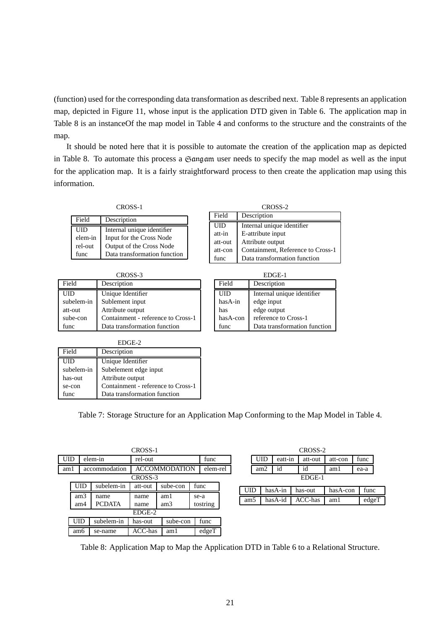(function) used for the corresponding data transformation as described next. Table 8 represents an application map, depicted in Figure 11, whose input is the application DTD given in Table 6. The application map in Table 8 is an instanceOf the map model in Table 4 and conforms to the structure and the constraints of the map.

It should be noted here that it is possible to automate the creation of the application map as depicted in Table 8. To automate this process a Gangam user needs to specify the map model as well as the input for the application map. It is a fairly straightforward process to then create the application map using this information.

| CROSS-1     |
|-------------|
| Description |
|             |

Field

| UID     | Internal unique identifier   |
|---------|------------------------------|
| elem-in | Input for the Cross Node     |
| rel-out | Output of the Cross Node     |
| func    | Data transformation function |

| CROSS-3    |                                    |  |  |  |
|------------|------------------------------------|--|--|--|
| Field      | Description                        |  |  |  |
| UID        | Unique Identifier                  |  |  |  |
| subelem-in | Sublement input                    |  |  |  |
| att-out    | Attribute output                   |  |  |  |
| sube-con   | Containment - reference to Cross-1 |  |  |  |
| func       | Data transformation function       |  |  |  |

| Field      | Description                       |
|------------|-----------------------------------|
| <b>UID</b> | Internal unique identifier        |
| att-in     | E-attribute input                 |
| att-out    | Attribute output                  |
| att-con    | Containment, Reference to Cross-1 |
| func       | Data transformation function      |

EDGE-1 Field Description UID Internal unique identifier hasA-in edge input has edge output hasA-con reference to Cross-1 func Data transformation function

EDGE-2

| Field      | Description                        |
|------------|------------------------------------|
| UID        | Unique Identifier                  |
| subelem-in | Subelement edge input              |
| has-out    | Attribute output                   |
| se-con     | Containment - reference to Cross-1 |
| func       | Data transformation function       |

Table 7: Storage Structure for an Application Map Conforming to the Map Model in Table 4.

|         |            |  |               | CROSS-1              |          |      |          |          |                 |            |         | CROSS-2 |          |       |
|---------|------------|--|---------------|----------------------|----------|------|----------|----------|-----------------|------------|---------|---------|----------|-------|
|         | <b>UID</b> |  | elem-in       | rel-out              |          |      | func     |          |                 | <b>UID</b> | eatt-in | att-out | att-con  | func  |
| am1     |            |  | accommodation | <b>ACCOMMODATION</b> |          |      | elem-rel |          |                 | am2        | id      | id      | aml      | ea-a  |
| CROSS-3 |            |  |               |                      |          |      |          | $EDGE-1$ |                 |            |         |         |          |       |
|         | <b>UID</b> |  | subelem-in    | att-out              | sube-con | func |          |          | <b>UID</b>      | hasA-in    |         | has-out | hasA-con | func  |
|         | am3        |  | name          | name                 | aml      | se-a |          |          | am <sub>5</sub> |            | hasA-id | ACC-has | am1      | edgeT |
|         | am4        |  | <b>PCDATA</b> | name                 | am3      |      | tostring |          |                 |            |         |         |          |       |
| EDGE-2  |            |  |               |                      |          |      |          |          |                 |            |         |         |          |       |
|         | <b>UID</b> |  | subelem-in    | has-out              | sube-con |      | func     |          |                 |            |         |         |          |       |
|         | am6        |  | se-name       | ACC-has              | aml      |      | edgeT    |          |                 |            |         |         |          |       |

Table 8: Application Map to Map the Application DTD in Table 6 to a Relational Structure.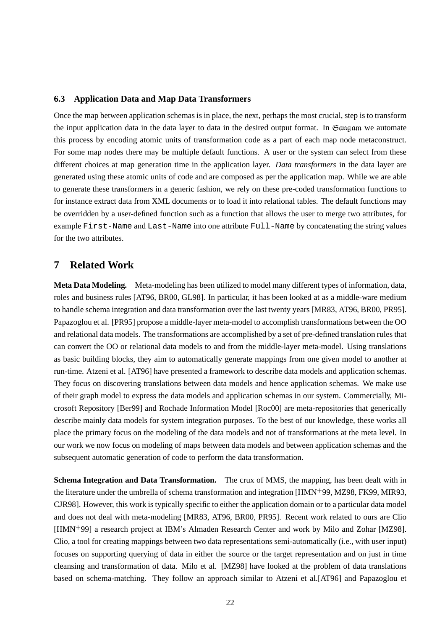#### **6.3 Application Data and Map Data Transformers**

Once the map between application schemas is in place, the next, perhaps the most crucial, step is to transform the input application data in the data layer to data in the desired output format. In  $\mathfrak{S}$  and am we automate this process by encoding atomic units of transformation code as a part of each map node metaconstruct. For some map nodes there may be multiple default functions. A user or the system can select from these different choices at map generation time in the application layer. *Data transformers* in the data layer are generated using these atomic units of code and are composed as per the application map. While we are able to generate these transformers in a generic fashion, we rely on these pre-coded transformation functions to for instance extract data from XML documents or to load it into relational tables. The default functions may be overridden by a user-defined function such as a function that allows the user to merge two attributes, for example First-Name and Last-Name into one attribute Full-Name by concatenating the string values for the two attributes.

# **7 Related Work**

**Meta Data Modeling.** Meta-modeling has been utilized to model many different types of information, data, roles and business rules [AT96, BR00, GL98]. In particular, it has been looked at as a middle-ware medium to handle schema integration and data transformation over the last twenty years [MR83, AT96, BR00, PR95]. Papazoglou et al. [PR95] propose a middle-layer meta-model to accomplish transformations between the OO and relational data models. The transformations are accomplished by a set of pre-defined translation rules that can convert the OO or relational data models to and from the middle-layer meta-model. Using translations as basic building blocks, they aim to automatically generate mappings from one given model to another at run-time. Atzeni et al. [AT96] have presented a framework to describe data models and application schemas. They focus on discovering translations between data models and hence application schemas. We make use of their graph model to express the data models and application schemas in our system. Commercially, Microsoft Repository [Ber99] and Rochade Information Model [Roc00] are meta-repositories that generically describe mainly data models for system integration purposes. To the best of our knowledge, these works all place the primary focus on the modeling of the data models and not of transformations at the meta level. In our work we now focus on modeling of maps between data models and between application schemas and the subsequent automatic generation of code to perform the data transformation.

**Schema Integration and Data Transformation.** The crux of MMS, the mapping, has been dealt with in the literature under the umbrella of schema transformation and integration [HMN- 99, MZ98, FK99, MIR93, CJR98]. However, this work is typically specific to either the application domain or to a particular data model and does not deal with meta-modeling [MR83, AT96, BR00, PR95]. Recent work related to ours are Clio [HMN-99] a research project at IBM's Almaden Research Center and work by Milo and Zohar [MZ98]. Clio, a tool for creating mappings between two data representations semi-automatically (i.e., with user input) focuses on supporting querying of data in either the source or the target representation and on just in time cleansing and transformation of data. Milo et al. [MZ98] have looked at the problem of data translations based on schema-matching. They follow an approach similar to Atzeni et al.[AT96] and Papazoglou et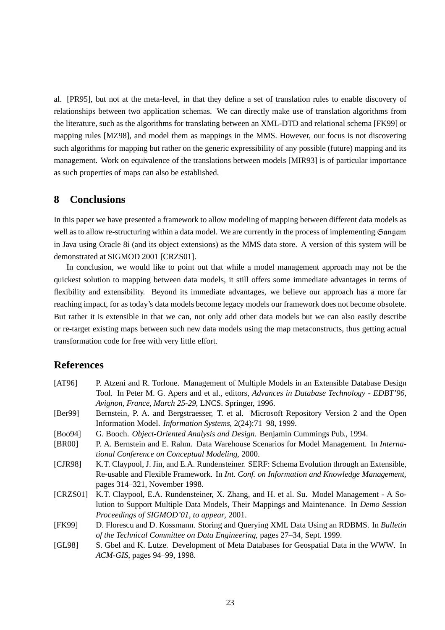al. [PR95], but not at the meta-level, in that they define a set of translation rules to enable discovery of relationships between two application schemas. We can directly make use of translation algorithms from the literature, such as the algorithms for translating between an XML-DTD and relational schema [FK99] or mapping rules [MZ98], and model them as mappings in the MMS. However, our focus is not discovering such algorithms for mapping but rather on the generic expressibility of any possible (future) mapping and its management. Work on equivalence of the translations between models [MIR93] is of particular importance as such properties of maps can also be established.

# **8 Conclusions**

In this paper we have presented a framework to allow modeling of mapping between different data models as well as to allow re-structuring within a data model. We are currently in the process of implementing  $\mathfrak{S}$  angum in Java using Oracle 8i (and its object extensions) as the MMS data store. A version of this system will be demonstrated at SIGMOD 2001 [CRZS01].

In conclusion, we would like to point out that while a model management approach may not be the quickest solution to mapping between data models, it still offers some immediate advantages in terms of flexibility and extensibility. Beyond its immediate advantages, we believe our approach has a more far reaching impact, for as today's data models become legacy models our framework does not become obsolete. But rather it is extensible in that we can, not only add other data models but we can also easily describe or re-target existing maps between such new data models using the map metaconstructs, thus getting actual transformation code for free with very little effort.

# **References**

| [AT96]   | P. Atzeni and R. Torlone. Management of Multiple Models in an Extensible Database Design        |
|----------|-------------------------------------------------------------------------------------------------|
|          | Tool. In Peter M. G. Apers and et al., editors, Advances in Database Technology - EDBT'96,      |
|          | Avignon, France, March 25-29, LNCS. Springer, 1996.                                             |
| [Ber99]  | Bernstein, P. A. and Bergstraesser, T. et al. Microsoft Repository Version 2 and the Open       |
|          | Information Model. Information Systems, 2(24):71-98, 1999.                                      |
| [Boo94]  | G. Booch. Object-Oriented Analysis and Design. Benjamin Cummings Pub., 1994.                    |
| [BR00]   | P. A. Bernstein and E. Rahm. Data Warehouse Scenarios for Model Management. In <i>Interna</i> - |
|          | tional Conference on Conceptual Modeling, 2000.                                                 |
| [CIR98]  | K.T. Claypool, J. Jin, and E.A. Rundensteiner. SERF: Schema Evolution through an Extensible,    |
|          | Re-usable and Flexible Framework. In Int. Conf. on Information and Knowledge Management,        |
|          | pages 314–321, November 1998.                                                                   |
| [CRZS01] | K.T. Claypool, E.A. Rundensteiner, X. Zhang, and H. et al. Su. Model Management - A So-         |
|          | lution to Support Multiple Data Models, Their Mappings and Maintenance. In Demo Session         |
|          | Proceedings of SIGMOD'01, to appear, 2001.                                                      |
| [FK99]   | D. Florescu and D. Kossmann. Storing and Querying XML Data Using an RDBMS. In Bulletin          |
|          | of the Technical Committee on Data Engineering, pages 27–34, Sept. 1999.                        |
| [GL98]   | S. Gbel and K. Lutze. Development of Meta Databases for Geospatial Data in the WWW. In          |
|          | ACM-GIS, pages 94-99, 1998.                                                                     |